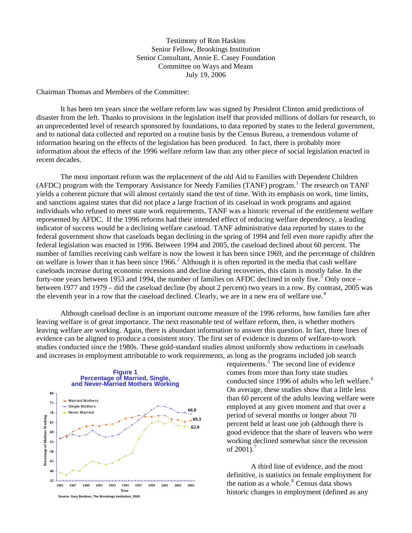Testimony of Ron Haskins Senior Fellow, Brookings Institution Senior Consultant, Annie E. Casey Foundation Committee on Ways and Means July 19, 2006

Chairman Thomas and Members of the Committee:

It has been ten years since the welfare reform law was signed by President Clinton amid predictions of disaster from the left. Thanks to provisions in the legislation itself that provided millions of dollars for research, to an unprecedented level of research sponsored by foundations, to data reported by states to the federal government, and to national data collected and reported on a routine basis by the Census Bureau, a tremendous volume of information bearing on the effects of the legislation has been produced. In fact, there is probably more information about the effects of the 1996 welfare reform law than any other piece of social legislation enacted in recent decades.

The most important reform was the replacement of the old Aid to Families with Dependent Children (AFDC) program with the Temporary Assistance for Needy Families (TANF) program.<sup>[1](#page-11-0)</sup> The research on TANF yields a coherent picture that will almost certainly stand the test of time. With its emphasis on work, time limits, and sanctions against states that did not place a large fraction of its caseload in work programs and against individuals who refused to meet state work requirements, TANF was a historic reversal of the entitlement welfare represented by AFDC. If the 1996 reforms had their intended effect of reducing welfare dependency, a leading indicator of success would be a declining welfare caseload. TANF administrative data reported by states to the federal government show that caseloads began declining in the spring of 1994 and fell even more rapidly after the federal legislation was enacted in 1996. Between 1994 and 2005, the caseload declined about 60 percent. The number of families receiving cash welfare is now the lowest it has been since 1969, and the percentage of children on welfare is lower than it has been since  $1966$ <sup>[2](#page-11-1)</sup> Although it is often reported in the media that cash welfare caseloads increase during economic recessions and decline during recoveries, this claim is mostly false. In the forty-one years between 195[3](#page-11-1) and 1994, the number of families on AFDC declined in only five.<sup>3</sup> Only once – between 1977 and 1979 – did the caseload decline (by about 2 percent) two years in a row. By contrast, 2005 was the eleventh year in a row that the caseload declined. Clearly, we are in a new era of welfare use.<sup>[4](#page-11-1)</sup>

Although caseload decline is an important outcome measure of the 1996 reforms, how families fare after leaving welfare is of great importance. The next reasonable test of welfare reform, then, is whether mothers leaving welfare are working. Again, there is abundant information to answer this question. In fact, three lines of evidence can be aligned to produce a consistent story. The first set of evidence is dozens of welfare-to-work studies conducted since the 1980s. These gold-standard studies almost uniformly show reductions in caseloads and increases in employment attributable to work requirements, as long as the programs included job search



requirements. $\frac{5}{\ }$  $\frac{5}{\ }$  $\frac{5}{\ }$ The second line of evidence comes from more than forty state studies conducted since 199[6](#page-11-1) of adults who left welfare.<sup>6</sup> On average, these studies show that a little less than 60 percent of the adults leaving welfare were employed at any given moment and that over a period of several months or longer about 70 percent held at least one job (although there is good evidence that the share of leavers who were working declined somewhat since the recession of  $2001$ ).<sup>[7](#page-11-1)</sup>

A third line of evidence, and the most definitive, is statistics on female employment for the nation as a whole. $8$  Census data shows historic changes in employment (defined as any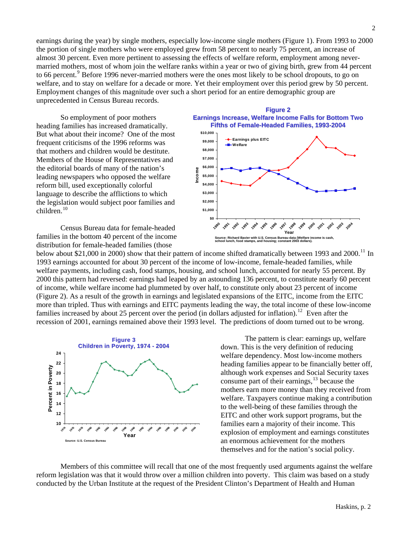earnings during the year) by single mothers, especially low-income single mothers (Figure 1). From 1993 to 2000 the portion of single mothers who were employed grew from 58 percent to nearly 75 percent, an increase of almost 30 percent. Even more pertinent to assessing the effects of welfare reform, employment among nevermarried mothers, most of whom join the welfare ranks within a year or two of giving birth, grew from 44 percent to 66 percent.<sup>[9](#page-11-1)</sup> Before 1996 never-married mothers were the ones most likely to be school dropouts, to go on welfare, and to stay on welfare for a decade or more. Yet their employment over this period grew by 50 percent. Employment changes of this magnitude over such a short period for an entire demographic group are unprecedented in Census Bureau records.

So employment of poor mothers heading families has increased dramatically. But what about their income? One of the most frequent criticisms of the 1996 reforms was that mothers and children would be destitute. Members of the House of Representatives and the editorial boards of many of the nation's leading newspapers who opposed the welfare reform bill, used exceptionally colorful language to describe the afflictions to which the legislation would subject poor families and children.<sup>[10](#page-11-1)</sup>

Census Bureau data for female-headed families in the bottom 40 percent of the income distribution for female-headed families (those



below about \$21,000 in 2000) show that their pattern of income shifted dramatically between 1993 and 2000.<sup>[11](#page-11-1)</sup> In 1993 earnings accounted for about 30 percent of the income of low-income, female-headed families, while welfare payments, including cash, food stamps, housing, and school lunch, accounted for nearly 55 percent. By 2000 this pattern had reversed: earnings had leaped by an astounding 136 percent, to constitute nearly 60 percent of income, while welfare income had plummeted by over half, to constitute only about 23 percent of income (Figure 2). As a result of the growth in earnings and legislated expansions of the EITC, income from the EITC more than tripled. Thus with earnings and EITC payments leading the way, the total income of these low-income families increased by about 25 percent over the period (in dollars adjusted for inflation).<sup>[12](#page-11-1)</sup> Even after the recession of 2001, earnings remained above their 1993 level. The predictions of doom turned out to be wrong.



The pattern is clear: earnings up, welfare down. This is the very definition of reducing welfare dependency. Most low-income mothers heading families appear to be financially better off, although work expenses and Social Security taxes consume part of their earnings, $^{13}$  $^{13}$  $^{13}$  because the mothers earn more money than they received from welfare. Taxpayers continue making a contribution to the well-being of these families through the EITC and other work support programs, but the families earn a majority of their income. This explosion of employment and earnings constitutes an enormous achievement for the mothers themselves and for the nation's social policy.

Members of this committee will recall that one of the most frequently used arguments against the welfare reform legislation was that it would throw over a million children into poverty. This claim was based on a study conducted by the Urban Institute at the request of the President Clinton's Department of Health and Human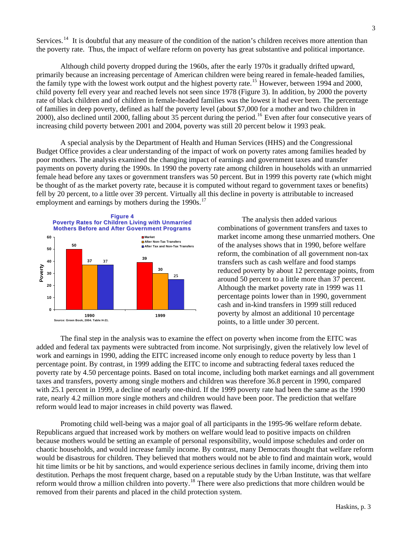Services.<sup>[14](#page-11-1)</sup> It is doubtful that any measure of the condition of the nation's children receives more attention than the poverty rate. Thus, the impact of welfare reform on poverty has great substantive and political importance.

Although child poverty dropped during the 1960s, after the early 1970s it gradually drifted upward, primarily because an increasing percentage of American children were being reared in female-headed families, the family type with the lowest work output and the highest poverty rate.<sup>[15](#page-11-1)</sup> However, between 1994 and 2000, child poverty fell every year and reached levels not seen since 1978 (Figure 3). In addition, by 2000 the poverty rate of black children and of children in female-headed families was the lowest it had ever been. The percentage of families in deep poverty, defined as half the poverty level (about \$7,000 for a mother and two children in 2000), also declined until 2000, falling about 35 percent during the period.<sup>[16](#page-11-1)</sup> Even after four consecutive years of increasing child poverty between 2001 and 2004, poverty was still 20 percent below it 1993 peak.

A special analysis by the Department of Health and Human Services (HHS) and the Congressional Budget Office provides a clear understanding of the impact of work on poverty rates among families headed by poor mothers. The analysis examined the changing impact of earnings and government taxes and transfer payments on poverty during the 1990s. In 1990 the poverty rate among children in households with an unmarried female head before any taxes or government transfers was 50 percent. But in 1999 this poverty rate (which might be thought of as the market poverty rate, because it is computed without regard to government taxes or benefits) fell by 20 percent, to a little over 39 percent. Virtually all this decline in poverty is attributable to increased employment and earnings by mothers during the 1990s.<sup>[17](#page-11-1)</sup>



 The analysis then added various combinations of government transfers and taxes to market income among these unmarried mothers. One of the analyses shows that in 1990, before welfare reform, the combination of all government non-tax transfers such as cash welfare and food stamps reduced poverty by about 12 percentage points, from around 50 percent to a little more than 37 percent. Although the market poverty rate in 1999 was 11 percentage points lower than in 1990, government cash and in-kind transfers in 1999 still reduced poverty by almost an additional 10 percentage points, to a little under 30 percent.

The final step in the analysis was to examine the effect on poverty when income from the EITC was added and federal tax payments were subtracted from income. Not surprisingly, given the relatively low level of work and earnings in 1990, adding the EITC increased income only enough to reduce poverty by less than 1 percentage point. By contrast, in 1999 adding the EITC to income and subtracting federal taxes reduced the poverty rate by 4.50 percentage points. Based on total income, including both market earnings and all government taxes and transfers, poverty among single mothers and children was therefore 36.8 percent in 1990, compared with 25.1 percent in 1999, a decline of nearly one-third. If the 1999 poverty rate had been the same as the 1990 rate, nearly 4.2 million more single mothers and children would have been poor. The prediction that welfare reform would lead to major increases in child poverty was flawed.

 Promoting child well-being was a major goal of all participants in the 1995-96 welfare reform debate. Republicans argued that increased work by mothers on welfare would lead to positive impacts on children because mothers would be setting an example of personal responsibility, would impose schedules and order on chaotic households, and would increase family income. By contrast, many Democrats thought that welfare reform would be disastrous for children. They believed that mothers would not be able to find and maintain work, would hit time limits or be hit by sanctions, and would experience serious declines in family income, driving them into destitution. Perhaps the most frequent charge, based on a reputable study by the Urban Institute, was that welfare reform would throw a million children into poverty.[18](#page-11-1) There were also predictions that more children would be removed from their parents and placed in the child protection system.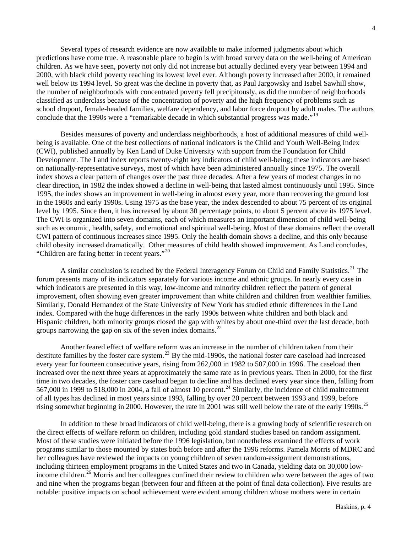Several types of research evidence are now available to make informed judgments about which predictions have come true. A reasonable place to begin is with broad survey data on the well-being of American children. As we have seen, poverty not only did not increase but actually declined every year between 1994 and 2000, with black child poverty reaching its lowest level ever. Although poverty increased after 2000, it remained well below its 1994 level. So great was the decline in poverty that, as Paul Jargowsky and Isabel Sawhill show, the number of neighborhoods with concentrated poverty fell precipitously, as did the number of neighborhoods classified as underclass because of the concentration of poverty and the high frequency of problems such as school dropout, female-headed families, welfare dependency, and labor force dropout by adult males. The authors conclude that the [19](#page-11-1)90s were a "remarkable decade in which substantial progress was made."<sup>19</sup>

 Besides measures of poverty and underclass neighborhoods, a host of additional measures of child wellbeing is available. One of the best collections of national indicators is the Child and Youth Well-Being Index (CWI), published annually by Ken Land of Duke University with support from the Foundation for Child Development. The Land index reports twenty-eight key indicators of child well-being; these indicators are based on nationally-representative surveys, most of which have been administered annually since 1975. The overall index shows a clear pattern of changes over the past three decades. After a few years of modest changes in no clear direction, in 1982 the index showed a decline in well-being that lasted almost continuously until 1995. Since 1995, the index shows an improvement in well-being in almost every year, more than recovering the ground lost in the 1980s and early 1990s. Using 1975 as the base year, the index descended to about 75 percent of its original level by 1995. Since then, it has increased by about 30 percentage points, to about 5 percent above its 1975 level. The CWI is organized into seven domains, each of which measures an important dimension of child well-being such as economic, health, safety, and emotional and spiritual well-being. Most of these domains reflect the overall CWI pattern of continuous increases since 1995. Only the health domain shows a decline, and this only because child obesity increased dramatically. Other measures of child health showed improvement. As Land concludes, "Children are faring better in recent years."[20](#page-11-1)

A similar conclusion is reached by the Federal Interagency Forum on Child and Family Statistics.<sup>[21](#page-11-1)</sup> The forum presents many of its indicators separately for various income and ethnic groups. In nearly every case in which indicators are presented in this way, low-income and minority children reflect the pattern of general improvement, often showing even greater improvement than white children and children from wealthier families. Similarly, Donald Hernandez of the State University of New York has studied ethnic differences in the Land index. Compared with the huge differences in the early 1990s between white children and both black and Hispanic children, both minority groups closed the gap with whites by about one-third over the last decade, both groups narrowing the gap on six of the seven index domains.<sup>[22](#page-11-1)</sup>

 Another feared effect of welfare reform was an increase in the number of children taken from their destitute families by the foster care system.<sup>[23](#page-11-1)</sup> By the mid-1990s, the national foster care caseload had increased every year for fourteen consecutive years, rising from 262,000 in 1982 to 507,000 in 1996. The caseload then increased over the next three years at approximately the same rate as in previous years. Then in 2000, for the first time in two decades, the foster care caseload began to decline and has declined every year since then, falling from 567,000 in 1999 to 518,000 in 2004, a fall of almost 10 percent.<sup>[24](#page-11-1)</sup> Similarly, the incidence of child maltreatment of all types has declined in most years since 1993, falling by over 20 percent between 1993 and 1999, before rising somewhat beginning in 2000. However, the rate in 2001 was still well below the rate of the early 1990s.<sup>[25](#page-11-1)</sup>

 In addition to these broad indicators of child well-being, there is a growing body of scientific research on the direct effects of welfare reform on children, including gold standard studies based on random assignment. Most of these studies were initiated before the 1996 legislation, but nonetheless examined the effects of work programs similar to those mounted by states both before and after the 1996 reforms. Pamela Morris of MDRC and her colleagues have reviewed the impacts on young children of seven random-assignment demonstrations, including thirteen employment programs in the United States and two in Canada, yielding data on 30,000 low-income children.<sup>[26](#page-11-1)</sup> Morris and her colleagues confined their review to children who were between the ages of two and nine when the programs began (between four and fifteen at the point of final data collection). Five results are notable: positive impacts on school achievement were evident among children whose mothers were in certain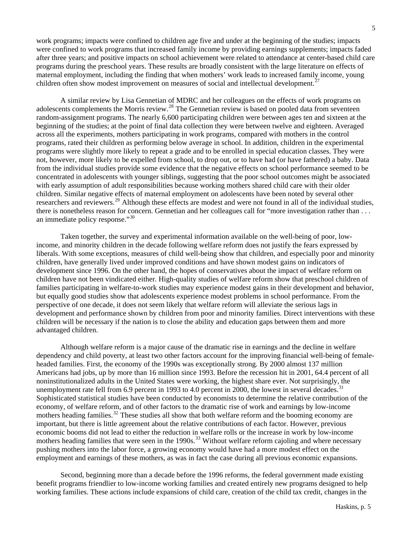work programs; impacts were confined to children age five and under at the beginning of the studies; impacts were confined to work programs that increased family income by providing earnings supplements; impacts faded after three years; and positive impacts on school achievement were related to attendance at center-based child care programs during the preschool years. These results are broadly consistent with the large literature on effects of maternal employment, including the finding that when mothers' work leads to increased family income, young children often show modest improvement on measures of social and intellectual development.<sup>[27](#page-11-1)</sup>

 A similar review by Lisa Gennetian of MDRC and her colleagues on the effects of work programs on adolescents complements the Morris review.<sup>[28](#page-11-1)</sup> The Gennetian review is based on pooled data from seventeen random-assignment programs. The nearly 6,600 participating children were between ages ten and sixteen at the beginning of the studies; at the point of final data collection they were between twelve and eighteen. Averaged across all the experiments, mothers participating in work programs, compared with mothers in the control programs, rated their children as performing below average in school. In addition, children in the experimental programs were slightly more likely to repeat a grade and to be enrolled in special education classes. They were not, however, more likely to be expelled from school, to drop out, or to have had (or have fathered) a baby. Data from the individual studies provide some evidence that the negative effects on school performance seemed to be concentrated in adolescents with younger siblings, suggesting that the poor school outcomes might be associated with early assumption of adult responsibilities because working mothers shared child care with their older children. Similar negative effects of maternal employment on adolescents have been noted by several other researchers and reviewers.<sup>[29](#page-11-1)</sup> Although these effects are modest and were not found in all of the individual studies, there is nonetheless reason for concern. Gennetian and her colleagues call for "more investigation rather than . . . an immediate policy response."[30](#page-11-1)

 Taken together, the survey and experimental information available on the well-being of poor, lowincome, and minority children in the decade following welfare reform does not justify the fears expressed by liberals. With some exceptions, measures of child well-being show that children, and especially poor and minority children, have generally lived under improved conditions and have shown modest gains on indicators of development since 1996. On the other hand, the hopes of conservatives about the impact of welfare reform on children have not been vindicated either. High-quality studies of welfare reform show that preschool children of families participating in welfare-to-work studies may experience modest gains in their development and behavior, but equally good studies show that adolescents experience modest problems in school performance. From the perspective of one decade, it does not seem likely that welfare reform will alleviate the serious lags in development and performance shown by children from poor and minority families. Direct interventions with these children will be necessary if the nation is to close the ability and education gaps between them and more advantaged children.

Although welfare reform is a major cause of the dramatic rise in earnings and the decline in welfare dependency and child poverty, at least two other factors account for the improving financial well-being of femaleheaded families. First, the economy of the 1990s was exceptionally strong. By 2000 almost 137 million Americans had jobs, up by more than 16 million since 1993. Before the recession hit in 2001, 64.4 percent of all noninstitutionalized adults in the United States were working, the highest share ever. Not surprisingly, the unemployment rate fell from  $6.9$  percent in 1993 to 4.0 percent in 2000, the lowest in several decades.<sup>[31](#page-11-1)</sup> Sophisticated statistical studies have been conducted by economists to determine the relative contribution of the economy, of welfare reform, and of other factors to the dramatic rise of work and earnings by low-income mothers heading families.<sup>[32](#page-11-1)</sup> These studies all show that both welfare reform and the booming economy are important, but there is little agreement about the relative contributions of each factor. However, previous economic booms did not lead to either the reduction in welfare rolls or the increase in work by low-income mothers heading families that were seen in the 1990s.<sup>[33](#page-11-1)</sup> Without welfare reform cajoling and where necessary pushing mothers into the labor force, a growing economy would have had a more modest effect on the employment and earnings of these mothers, as was in fact the case during all previous economic expansions.

Second, beginning more than a decade before the 1996 reforms, the federal government made existing benefit programs friendlier to low-income working families and created entirely new programs designed to help working families. These actions include expansions of child care, creation of the child tax credit, changes in the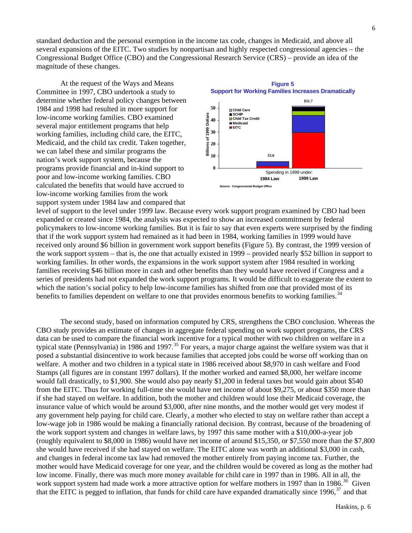standard deduction and the personal exemption in the income tax code, changes in Medicaid, and above all several expansions of the EITC. Two studies by nonpartisan and highly respected congressional agencies – the Congressional Budget Office (CBO) and the Congressional Research Service (CRS) – provide an idea of the magnitude of these changes.

At the request of the Ways and Means Committee in 1997, CBO undertook a study to determine whether federal policy changes between 1984 and 1998 had resulted in more support for low-income working families. CBO examined several major entitlement programs that help working families, including child care, the EITC, Medicaid, and the child tax credit. Taken together, we can label these and similar programs the nation's work support system, because the programs provide financial and in-kind support to poor and low-income working families. CBO calculated the benefits that would have accrued to low-income working families from the work support system under 1984 law and compared that



level of support to the level under 1999 law. Because every work support program examined by CBO had been expanded or created since 1984, the analysis was expected to show an increased commitment by federal policymakers to low-income working families. But it is fair to say that even experts were surprised by the finding that if the work support system had remained as it had been in 1984, working families in 1999 would have received only around \$6 billion in government work support benefits (Figure 5). By contrast, the 1999 version of the work support system – that is, the one that actually existed in 1999 – provided nearly \$52 billion in support to working families. In other words, the expansions in the work support system after 1984 resulted in working families receiving \$46 billion more in cash and other benefits than they would have received if Congress and a series of presidents had not expanded the work support programs. It would be difficult to exaggerate the extent to which the nation's social policy to help low-income families has shifted from one that provided most of its benefits to families dependent on welfare to one that provides enormous benefits to working families.<sup>[34](#page-11-1)</sup>

The second study, based on information computed by CRS, strengthens the CBO conclusion. Whereas the CBO study provides an estimate of changes in aggregate federal spending on work support programs, the CRS data can be used to compare the financial work incentive for a typical mother with two children on welfare in a typical state (Pennsylvania) in 1986 and 1997.<sup>[35](#page-11-1)</sup> For years, a major charge against the welfare system was that it posed a substantial disincentive to work because families that accepted jobs could be worse off working than on welfare. A mother and two children in a typical state in 1986 received about \$8,970 in cash welfare and Food Stamps (all figures are in constant 1997 dollars). If the mother worked and earned \$8,000, her welfare income would fall drastically, to \$1,900. She would also pay nearly \$1,200 in federal taxes but would gain about \$540 from the EITC. Thus for working full-time she would have net income of about \$9,275, or about \$350 more than if she had stayed on welfare. In addition, both the mother and children would lose their Medicaid coverage, the insurance value of which would be around \$3,000, after nine months, and the mother would get very modest if any government help paying for child care. Clearly, a mother who elected to stay on welfare rather than accept a low-wage job in 1986 would be making a financially rational decision. By contrast, because of the broadening of the work support system and changes in welfare laws, by 1997 this same mother with a \$10,000-a-year job (roughly equivalent to \$8,000 in 1986) would have net income of around \$15,350, or \$7,550 more than the \$7,800 she would have received if she had stayed on welfare. The EITC alone was worth an additional \$3,000 in cash, and changes in federal income tax law had removed the mother entirely from paying income tax. Further, the mother would have Medicaid coverage for one year, and the children would be covered as long as the mother had low income. Finally, there was much more money available for child care in 1997 than in 1986. All in all, the work support system had made work a more attractive option for welfare mothers in 1997 than in 1986.<sup>[36](#page-11-1)</sup> Given that the EITC is pegged to inflation, that funds for child care have expanded dramatically since  $1996$ ,<sup>[37](#page-11-1)</sup> and that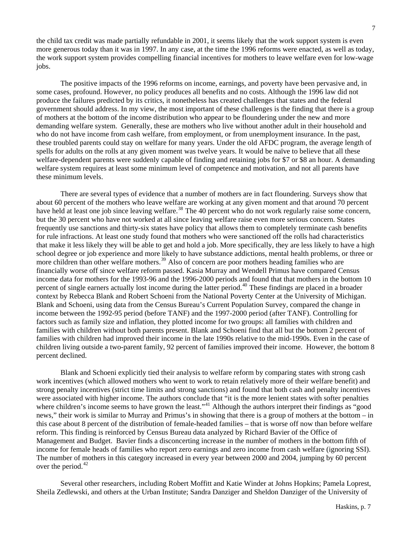the child tax credit was made partially refundable in 2001, it seems likely that the work support system is even more generous today than it was in 1997. In any case, at the time the 1996 reforms were enacted, as well as today, the work support system provides compelling financial incentives for mothers to leave welfare even for low-wage jobs.

The positive impacts of the 1996 reforms on income, earnings, and poverty have been pervasive and, in some cases, profound. However, no policy produces all benefits and no costs. Although the 1996 law did not produce the failures predicted by its critics, it nonetheless has created challenges that states and the federal government should address. In my view, the most important of these challenges is the finding that there is a group of mothers at the bottom of the income distribution who appear to be floundering under the new and more demanding welfare system. Generally, these are mothers who live without another adult in their household and who do not have income from cash welfare, from employment, or from unemployment insurance. In the past, these troubled parents could stay on welfare for many years. Under the old AFDC program, the average length of spells for adults on the rolls at any given moment was twelve years. It would be naïve to believe that all these welfare-dependent parents were suddenly capable of finding and retaining jobs for \$7 or \$8 an hour. A demanding welfare system requires at least some minimum level of competence and motivation, and not all parents have these minimum levels.

There are several types of evidence that a number of mothers are in fact floundering. Surveys show that about 60 percent of the mothers who leave welfare are working at any given moment and that around 70 percent have held at least one job since leaving welfare.<sup>[38](#page-11-1)</sup> The 40 percent who do not work regularly raise some concern, but the 30 percent who have not worked at all since leaving welfare raise even more serious concern. States frequently use sanctions and thirty-six states have policy that allows them to completely terminate cash benefits for rule infractions. At least one study found that mothers who were sanctioned off the rolls had characteristics that make it less likely they will be able to get and hold a job. More specifically, they are less likely to have a high school degree or job experience and more likely to have substance addictions, mental health problems, or three or more children than other welfare mothers.<sup>[39](#page-11-1)</sup> Also of concern are poor mothers heading families who are financially worse off since welfare reform passed. Kasia Murray and Wendell Primus have compared Census income data for mothers for the 1993-96 and the 1996-2000 periods and found that that mothers in the bottom 10 percent of single earners actually lost income during the latter period.<sup>[40](#page-11-1)</sup> These findings are placed in a broader context by Rebecca Blank and Robert Schoeni from the National Poverty Center at the University of Michigan. Blank and Schoeni, using data from the Census Bureau's Current Population Survey, compared the change in income between the 1992-95 period (before TANF) and the 1997-2000 period (after TANF). Controlling for factors such as family size and inflation, they plotted income for two groups: all families with children and families with children without both parents present. Blank and Schoeni find that all but the bottom 2 percent of families with children had improved their income in the late 1990s relative to the mid-1990s. Even in the case of children living outside a two-parent family, 92 percent of families improved their income. However, the bottom 8 percent declined.

Blank and Schoeni explicitly tied their analysis to welfare reform by comparing states with strong cash work incentives (which allowed mothers who went to work to retain relatively more of their welfare benefit) and strong penalty incentives (strict time limits and strong sanctions) and found that both cash and penalty incentives were associated with higher income. The authors conclude that "it is the more lenient states with softer penalties where children's income seems to have grown the least."<sup>[41](#page-11-1)</sup> Although the authors interpret their findings as "good news," their work is similar to Murray and Primus's in showing that there is a group of mothers at the bottom – in this case about 8 percent of the distribution of female-headed families – that is worse off now than before welfare reform. This finding is reinforced by Census Bureau data analyzed by Richard Bavier of the Office of Management and Budget. Bavier finds a disconcerting increase in the number of mothers in the bottom fifth of income for female heads of families who report zero earnings and zero income from cash welfare (ignoring SSI). The number of mothers in this category increased in every year between 2000 and 2004, jumping by 60 percent over the period. $42$ 

Several other researchers, including Robert Moffitt and Katie Winder at Johns Hopkins; Pamela Loprest, Sheila Zedlewski, and others at the Urban Institute; Sandra Danziger and Sheldon Danziger of the University of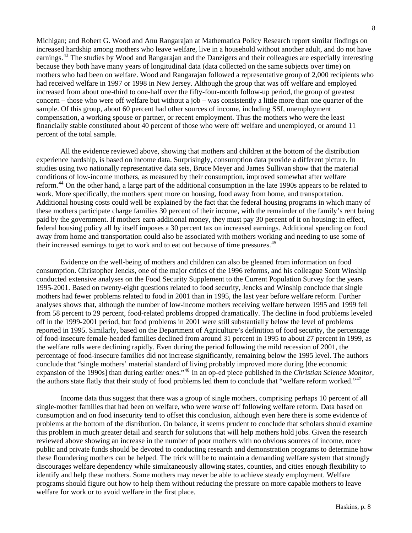Michigan; and Robert G. Wood and Anu Rangarajan at Mathematica Policy Research report similar findings on increased hardship among mothers who leave welfare, live in a household without another adult, and do not have earnings.<sup>[43](#page-11-1)</sup> The studies by Wood and Rangarajan and the Danzigers and their colleagues are especially interesting because they both have many years of longitudinal data (data collected on the same subjects over time) on mothers who had been on welfare. Wood and Rangarajan followed a representative group of 2,000 recipients who had received welfare in 1997 or 1998 in New Jersey. Although the group that was off welfare and employed increased from about one-third to one-half over the fifty-four-month follow-up period, the group of greatest concern – those who were off welfare but without a job – was consistently a little more than one quarter of the sample. Of this group, about 60 percent had other sources of income, including SSI, unemployment compensation, a working spouse or partner, or recent employment. Thus the mothers who were the least financially stable constituted about 40 percent of those who were off welfare and unemployed, or around 11 percent of the total sample.

All the evidence reviewed above, showing that mothers and children at the bottom of the distribution experience hardship, is based on income data. Surprisingly, consumption data provide a different picture. In studies using two nationally representative data sets, Bruce Meyer and James Sullivan show that the material conditions of low-income mothers, as measured by their consumption, improved somewhat after welfare reform.<sup>[44](#page-11-1)</sup> On the other hand, a large part of the additional consumption in the late 1990s appears to be related to work. More specifically, the mothers spent more on housing, food away from home, and transportation. Additional housing costs could well be explained by the fact that the federal housing programs in which many of these mothers participate charge families 30 percent of their income, with the remainder of the family's rent being paid by the government. If mothers earn additional money, they must pay 30 percent of it on housing: in effect, federal housing policy all by itself imposes a 30 percent tax on increased earnings. Additional spending on food away from home and transportation could also be associated with mothers working and needing to use some of their increased earnings to get to work and to eat out because of time pressures.<sup>[45](#page-11-1)</sup>

Evidence on the well-being of mothers and children can also be gleaned from information on food consumption. Christopher Jencks, one of the major critics of the 1996 reforms, and his colleague Scott Winship conducted extensive analyses on the Food Security Supplement to the Current Population Survey for the years 1995-2001. Based on twenty-eight questions related to food security, Jencks and Winship conclude that single mothers had fewer problems related to food in 2001 than in 1995, the last year before welfare reform. Further analyses shows that, although the number of low-income mothers receiving welfare between 1995 and 1999 fell from 58 percent to 29 percent, food-related problems dropped dramatically. The decline in food problems leveled off in the 1999-2001 period, but food problems in 2001 were still substantially below the level of problems reported in 1995. Similarly, based on the Department of Agriculture's definition of food security, the percentage of food-insecure female-headed families declined from around 31 percent in 1995 to about 27 percent in 1999, as the welfare rolls were declining rapidly. Even during the period following the mild recession of 2001, the percentage of food-insecure families did not increase significantly, remaining below the 1995 level. The authors conclude that "single mothers' material standard of living probably improved more during [the economic expansion of the 1990s] than during earlier ones."[46](#page-11-1) In an op-ed piece published in the *Christian Science Monitor*, the authors state flatly that their study of food problems led them to conclude that "welfare reform worked."<sup>[47](#page-11-1)</sup>

Income data thus suggest that there was a group of single mothers, comprising perhaps 10 percent of all single-mother families that had been on welfare, who were worse off following welfare reform. Data based on consumption and on food insecurity tend to offset this conclusion, although even here there is some evidence of problems at the bottom of the distribution. On balance, it seems prudent to conclude that scholars should examine this problem in much greater detail and search for solutions that will help mothers hold jobs. Given the research reviewed above showing an increase in the number of poor mothers with no obvious sources of income, more public and private funds should be devoted to conducting research and demonstration programs to determine how these floundering mothers can be helped. The trick will be to maintain a demanding welfare system that strongly discourages welfare dependency while simultaneously allowing states, counties, and cities enough flexibility to identify and help these mothers. Some mothers may never be able to achieve steady employment. Welfare programs should figure out how to help them without reducing the pressure on more capable mothers to leave welfare for work or to avoid welfare in the first place.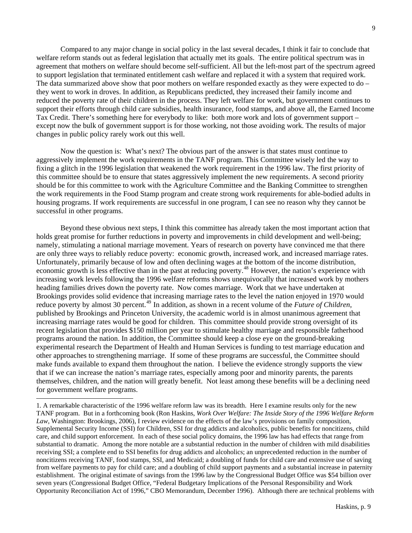9

Compared to any major change in social policy in the last several decades, I think it fair to conclude that welfare reform stands out as federal legislation that actually met its goals. The entire political spectrum was in agreement that mothers on welfare should become self-sufficient. All but the left-most part of the spectrum agreed to support legislation that terminated entitlement cash welfare and replaced it with a system that required work. The data summarized above show that poor mothers on welfare responded exactly as they were expected to do – they went to work in droves. In addition, as Republicans predicted, they increased their family income and reduced the poverty rate of their children in the process. They left welfare for work, but government continues to support their efforts through child care subsidies, health insurance, food stamps, and above all, the Earned Income Tax Credit. There's something here for everybody to like: both more work and lots of government support – except now the bulk of government support is for those working, not those avoiding work. The results of major changes in public policy rarely work out this well.

Now the question is: What's next? The obvious part of the answer is that states must continue to aggressively implement the work requirements in the TANF program. This Committee wisely led the way to fixing a glitch in the 1996 legislation that weakened the work requirement in the 1996 law. The first priority of this committee should be to ensure that states aggressively implement the new requirements. A second priority should be for this committee to work with the Agriculture Committee and the Banking Committee to strengthen the work requirements in the Food Stamp program and create strong work requirements for able-bodied adults in housing programs. If work requirements are successful in one program, I can see no reason why they cannot be successful in other programs.

Beyond these obvious next steps, I think this committee has already taken the most important action that holds great promise for further reductions in poverty and improvements in child development and well-being; namely, stimulating a national marriage movement. Years of research on poverty have convinced me that there are only three ways to reliably reduce poverty: economic growth, increased work, and increased marriage rates. Unfortunately, primarily because of low and often declining wages at the bottom of the income distribution, economic growth is less effective than in the past at reducing poverty.<sup>[48](#page-11-1)</sup> However, the nation's experience with increasing work levels following the 1996 welfare reforms shows unequivocally that increased work by mothers heading families drives down the poverty rate. Now comes marriage. Work that we have undertaken at Brookings provides solid evidence that increasing marriage rates to the level the nation enjoyed in 1970 would reduce poverty by almost 30 percent.<sup>[49](#page-11-2)</sup> In addition, as shown in a recent volume of the *Future of Children*, published by Brookings and Princeton University, the academic world is in almost unanimous agreement that increasing marriage rates would be good for children. This committee should provide strong oversight of its recent legislation that provides \$150 million per year to stimulate healthy marriage and responsible fatherhood programs around the nation. In addition, the Committee should keep a close eye on the ground-breaking experimental research the Department of Health and Human Services is funding to test marriage education and other approaches to strengthening marriage. If some of these programs are successful, the Committee should make funds available to expand them throughout the nation. I believe the evidence strongly supports the view that if we can increase the nation's marriage rates, especially among poor and minority parents, the parents themselves, children, and the nation will greatly benefit. Not least among these benefits will be a declining need for government welfare programs.

 $\overline{a}$ 

<sup>1.</sup> A remarkable characteristic of the 1996 welfare reform law was its breadth. Here I examine results only for the new TANF program. But in a forthcoming book (Ron Haskins, *Work Over Welfare: The Inside Story of the 1996 Welfare Reform Law*, Washington: Brookings, 2006), I review evidence on the effects of the law's provisions on family composition, Supplemental Security Income (SSI) for Children, SSI for drug addicts and alcoholics, public benefits for noncitizens, child care, and child support enforcement. In each of these social policy domains, the 1996 law has had effects that range from substantial to dramatic. Among the more notable are a substantial reduction in the number of children with mild disabilities receiving SSI; a complete end to SSI benefits for drug addicts and alcoholics; an unprecedented reduction in the number of noncitizens receiving TANF, food stamps, SSI, and Medicaid; a doubling of funds for child care and extensive use of saving from welfare payments to pay for child care; and a doubling of child support payments and a substantial increase in paternity establishment. The original estimate of savings from the 1996 law by the Congressional Budget Office was \$54 billion over seven years (Congressional Budget Office, "Federal Budgetary Implications of the Personal Responsibility and Work Opportunity Reconciliation Act of 1996," CBO Memorandum, December 1996). Although there are technical problems with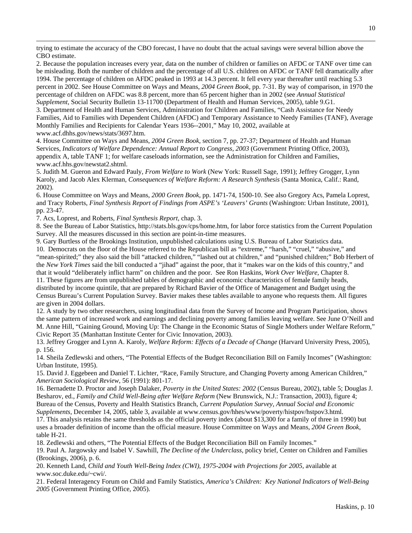trying to estimate the accuracy of the CBO forecast, I have no doubt that the actual savings were several billion above the CBO estimate.

2. Because the population increases every year, data on the number of children or families on AFDC or TANF over time can be misleading. Both the number of children and the percentage of all U.S. children on AFDC or TANF fell dramatically after 1994. The percentage of children on AFDC peaked in 1993 at 14.3 percent. It fell every year thereafter until reaching 5.3 percent in 2002. See House Committee on Ways and Means, *2004 Green Book,* pp. 7-31. By way of comparison, in 1970 the percentage of children on AFDC was 8.8 percent, more than 65 percent higher than in 2002 (see *Annual Statistical Supplement*, Social Security Bulletin 13-11700 (Department of Health and Human Services, 2005), table 9.G1. 3. Department of Health and Human Services, Administration for Children and Families, "Cash Assistance for Needy Families, Aid to Families with Dependent Children (AFDC) and Temporary Assistance to Needy Families (TANF), Average Monthly Families and Recipients for Calendar Years 1936--2001," May 10, 2002, available at www.acf.dhhs.gov/news/stats/3697.htm.

4. House Committee on Ways and Means, *2004 Green Book*, section 7, pp. 27-37; Department of Health and Human Services, *Indicators of Welfare Dependence: Annual Report to Congress, 2003* (Government Printing Office, 2003), appendix A, table TANF 1; for welfare caseloads information, see the Administration for Children and Families, www.acf.hhs.gov/newstat2.shtml.

5. Judith M. Gueron and Edward Pauly, *From Welfare to Work* (New York: Russell Sage, 1991); Jeffrey Grogger, Lynn Karoly, and Jacob Alex Klerman, *Consequences of Welfare Reform: A Research Synthesis* (Santa Monica, Calif.: Rand, 2002)*.*

6. House Committee on Ways and Means, *2000 Green Book,* pp. 1471-74, 1500-10. See also Gregory Acs, Pamela Loprest, and Tracy Roberts, *Final Synthesis Report of Findings from ASPE's 'Leavers' Grants* (Washington: Urban Institute, 2001), pp. 23-47.

7. Acs, Loprest, and Roberts, *Final Synthesis Report*, chap. 3.

 $\overline{a}$ 

8. See the Bureau of Labor Statistics, http://stats.bls.gov/cps/home.htm, for labor force statistics from the Current Population Survey. All the measures discussed in this section are point-in-time measures.

9. Gary Burtless of the Brookings Institution, unpublished calculations using U.S. Bureau of Labor Statistics data.

10. Democrats on the floor of the House referred to the Republican bill as "extreme," "harsh," "cruel," "abusive," and "mean-spirited;" they also said the bill "attacked children," "lashed out at children," and "punished children;" Bob Herbert of the *New York Times* said the bill conducted a "jihad" against the poor, that it "makes war on the kids of this country," and that it would "deliberately inflict harm" on children and the poor. See Ron Haskins, *Work Over Welfare*, Chapter 8.

11. These figures are from unpublished tables of demographic and economic characteristics of female family heads, distributed by income quintile, that are prepared by Richard Bavier of the Office of Management and Budget using the Census Bureau's Current Population Survey. Bavier makes these tables available to anyone who requests them. All figures are given in 2004 dollars.

12. A study by two other researchers, using longitudinal data from the Survey of Income and Program Participation, shows the same pattern of increased work and earnings and declining poverty among families leaving welfare. See June O'Neill and M. Anne Hill, "Gaining Ground, Moving Up: The Change in the Economic Status of Single Mothers under Welfare Reform," Civic Report 35 (Manhattan Institute Center for Civic Innovation, 2003).

13. Jeffrey Grogger and Lynn A. Karoly, *Welfare Reform: Effects of a Decade of Change* (Harvard University Press, 2005), p. 156.

14. Sheila Zedlewski and others, "The Potential Effects of the Budget Reconciliation Bill on Family Incomes" (Washington: Urban Institute, 1995).

15. David J. Eggebeen and Daniel T. Lichter, "Race, Family Structure, and Changing Poverty among American Children," *American Sociological Review*, 56 (1991): 801-17.

16. Bernadette D. Proctor and Joseph Dalaker, *Poverty in the United States: 2002* (Census Bureau, 2002), table 5; Douglas J. Besharov, ed., *Family and Child Well-Being after Welfare Reform* (New Brunswick, N.J.: Transaction, 2003), figure 4; Bureau of the Census, Poverty and Health Statistics Branch, *Current Population Survey, Annual Social and Economic Supplements,* December 14, 2005, table 3, available at www.census.gov/hhes/www/poverty/histpov/hstpov3.html.

17. This analysis retains the same thresholds as the official poverty index (about \$13,300 for a family of three in 1990) but uses a broader definition of income than the official measure. House Committee on Ways and Means, *2004 Green Book*, table H-21.

18. Zedlewski and others, "The Potential Effects of the Budget Reconciliation Bill on Family Incomes."

19. Paul A. Jargowsky and Isabel V. Sawhill, *The Decline of the Underclass,* policy brief, Center on Children and Families (Brookings, 2006), p. 6.

20. Kenneth Land, *Child and Youth Well-Being Index (CWI), 1975-2004 with Projections for 2005,* available at www.soc.duke.edu/~cwi/.

21. Federal Interagency Forum on Child and Family Statistics, *America's Children: Key National Indicators of Well-Being 2005* (Government Printing Office, 2005).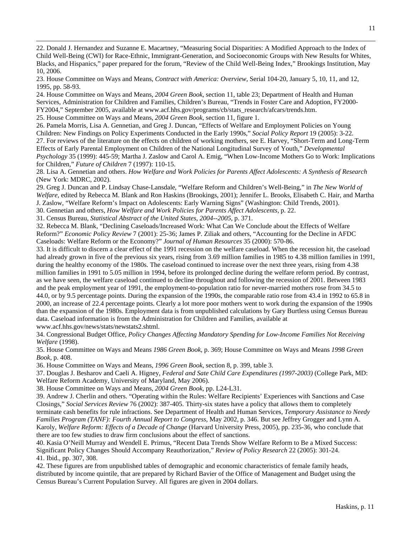22. Donald J. Hernandez and Suzanne E. Macartney, "Measuring Social Disparities: A Modified Approach to the Index of Child Well-Being (CWI) for Race-Ethnic, Immigrant-Generation, and Socioeconomic Groups with New Results for Whites, Blacks, and Hispanics," paper prepared for the forum, "Review of the Child Well-Being Index," Brookings Institution, May 10, 2006.

23. House Committee on Ways and Means, *Contract with America: Overview,* Serial 104-20, January 5, 10, 11, and 12, 1995, pp. 58-93.

24. House Committee on Ways and Means, *2004 Green Book*, section 11, table 23; Department of Health and Human Services, Administration for Children and Families, Children's Bureau, "Trends in Foster Care and Adoption, FY2000- FY2004," September 2005, available at www.acf.hhs.gov/programs/cb/stats\_research/afcars/trends.htm.

25. House Committee on Ways and Means, *2004 Green Book,* section 11, figure 1.

 $\overline{a}$ 

26. Pamela Morris, Lisa A. Gennetian, and Greg J. Duncan, "Effects of Welfare and Employment Policies on Young Children: New Findings on Policy Experiments Conducted in the Early 1990s," *Social Policy Report* 19 (2005): 3-22.

27. For reviews of the literature on the effects on children of working mothers, see E. Harvey, "Short-Term and Long-Term Effects of Early Parental Employment on Children of the National Longitudinal Survey of Youth," *Developmental Psychology* 35 (1999): 445-59; Martha J. Zaslow and Carol A. Emig, "When Low-Income Mothers Go to Work: Implications for Children," *Future of Children* 7 (1997): 110-15.

28. Lisa A. Gennetian and others. *How Welfare and Work Policies for Parents Affect Adolescents: A Synthesis of Research* (New York: MDRC, 2002).

29. Greg J. Duncan and P. Lindsay Chase-Lansdale, "Welfare Reform and Children's Well-Being," in *The New World of Welfare,* edited by Rebecca M. Blank and Ron Haskins (Brookings, 2001); Jennifer L. Brooks, Elisabeth C. Hair, and Martha J. Zaslow, "Welfare Reform's Impact on Adolescents: Early Warning Signs" (Washington: Child Trends, 2001).

30. Gennetian and others, *How Welfare and Work Policies for Parents Affect Adolescents,* p. 22.

31. Census Bureau, *Statistical Abstract of the United States, 2004--2005,* p. 371.

32. Rebecca M. Blank, "Declining Caseloads/Increased Work: What Can We Conclude about the Effects of Welfare Reform?" *Economic Policy Review* 7 (2001): 25-36; James P. Ziliak and others, "Accounting for the Decline in AFDC Caseloads: Welfare Reform or the Economy?" *Journal of Human Resources* 35 (2000): 570-86.

33. It is difficult to discern a clear effect of the 1991 recession on the welfare caseload. When the recession hit, the caseload had already grown in five of the previous six years, rising from 3.69 million families in 1985 to 4.38 million families in 1991, during the healthy economy of the 1980s. The caseload continued to increase over the next three years, rising from 4.38 million families in 1991 to 5.05 million in 1994, before its prolonged decline during the welfare reform period. By contrast, as we have seen, the welfare caseload continued to decline throughout and following the recession of 2001. Between 1983 and the peak employment year of 1991, the employment-to-population ratio for never-married mothers rose from 34.5 to 44.0, or by 9.5 percentage points. During the expansion of the 1990s, the comparable ratio rose from 43.4 in 1992 to 65.8 in 2000, an increase of 22.4 percentage points. Clearly a lot more poor mothers went to work during the expansion of the 1990s than the expansion of the 1980s. Employment data is from unpublished calculations by Gary Burtless using Census Bureau data. Caseload information is from the Administration for Children and Families, available at www.acf.hhs.gov/news/stats/newstats2.shtml.

34. Congressional Budget Office, *Policy Changes Affecting Mandatory Spending for Low-Income Families Not Receiving Welfare* (1998).

35. House Committee on Ways and Means *1986 Green Book*, p. 369; House Committee on Ways and Means *1998 Green Book*, p. 408.

36. House Committee on Ways and Means, *1996 Green Book,* section 8, p. 399, table 3.

37. Douglas J. Besharov and Caeli A. Higney, *Federal and Sate Child Care Expenditures (1997-2003)* (College Park, MD: Welfare Reform Academy, University of Maryland, May 2006).

38. House Committee on Ways and Means, *2004 Green Book,* pp. L24-L31.

39. Andrew J. Cherlin and others. "Operating within the Rules: Welfare Recipients' Experiences with Sanctions and Case Closings," *Social Services Review* 76 (2002): 387-405. Thirty-six states have a policy that allows them to completely terminate cash benefits for rule infractions. See Department of Health and Human Services, *Temporary Assistance to Needy Families Program (TANF): Fourth Annual Report to Congress,* May 2002, p. 346. But see Jeffrey Grogger and Lynn A. Karoly, *Welfare Reform: Effects of a Decade of Change* (Harvard University Press, 2005), pp. 235-36, who conclude that there are too few studies to draw firm conclusions about the effect of sanctions.

40. Kasia O'Neill Murray and Wendell E. Primus, "Recent Data Trends Show Welfare Reform to Be a Mixed Success: Significant Policy Changes Should Accompany Reauthorization," *Review of Policy Research* 22 (2005): 301-24. 41. Ibid., pp. 307, 308.

42. These figures are from unpublished tables of demographic and economic characteristics of female family heads, distributed by income quintile, that are prepared by Richard Bavier of the Office of Management and Budget using the Census Bureau's Current Population Survey. All figures are given in 2004 dollars.